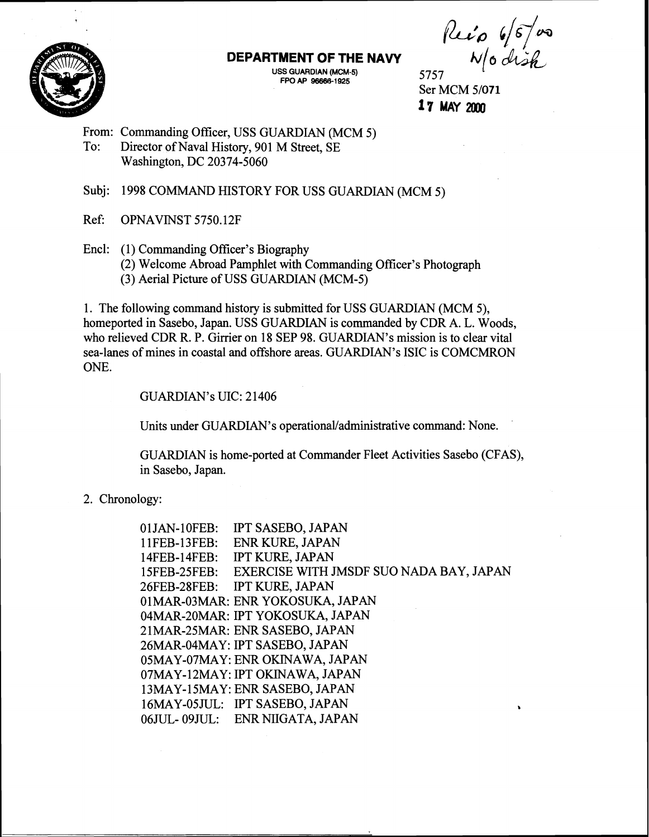

**DEPARTMENT OF THE NAVY** 

**FPO AP 96666-1925** 

**TMENT OF THE NAVY**<br>
USS GUARDIAN (MCM-5)<br>
USS GUARDIAN (MCM-5)

Ser MCM 5/071 **17 MAY 2000** 

From: Commanding Officer, USS GUARDIAN (MCM 5) To: Director of Naval History, 901 M Street, SE Washington, DC 20374-5060

Subj: 1998 COMMAND HISTORY FOR USS GUARDIAN (MCM 5)

Ref: OPNAVINST 5750.12F

Encl: (1) Commanding Officer's Biography

(2) Welcome Abroad Pamphlet with Commanding Officer's Photograph

(3) Aerial Picture of USS GUARDIAN (MCM-5)

1. The following command history is submitted for USS GUARDIAN (MCM 5), homeported in Sasebo, Japan. USS GUARDIAN is commanded by CDR A. L. Woods, who relieved CDR R. P. Girrier on 18 SEP 98. GUARDIAN'S mission is to clear vital sea-lanes of mines in coastal and offshore areas. GUARDIAN'S ISIC is COMCMRON ONE.

GUARDIAN'S UIC: 2 1406

Units under GUARDIAN's operational/administrative command: None.

GUARDIAN is home-ported at Commander Fleet Activities Sasebo (CFAS), in Sasebo, Japan.

2. Chronology:

01 JAN-10 FEB: IPT SASEBO, JAPAN 1 1FEB- 13FEB: ENR KURE, JAPAN 14FEB- 14FEB: IPT KURE, JAPAN 15FEB-25FEB: EXERCISE WITH JMSDF SUO NADA BAY, JAPAN 26FEB-28FEB: IPT KURE, JAPAN 01 MAR-03MAR: ENR YOKOSUKA, JAPAN 04MAR-20MAR: IPT YOKOSUKA, JAPAN 2 1 MAR-25MAR: ENR SASEBO, JAPAN 26MAR-04MAY: IPT SASEBO, JAPAN O5MAY-07MAY: ENR OKINAWA, JAPAN 07MAY-12MAY: IPT OKINAWA, JAPAN 13MAY-1 5MAY: ENR SASEBO, JAPAN 16MAY-05JUL: IPT SASEBO, JAPAN 06JUL-09JUL: ENR NIIGATA, JAPAN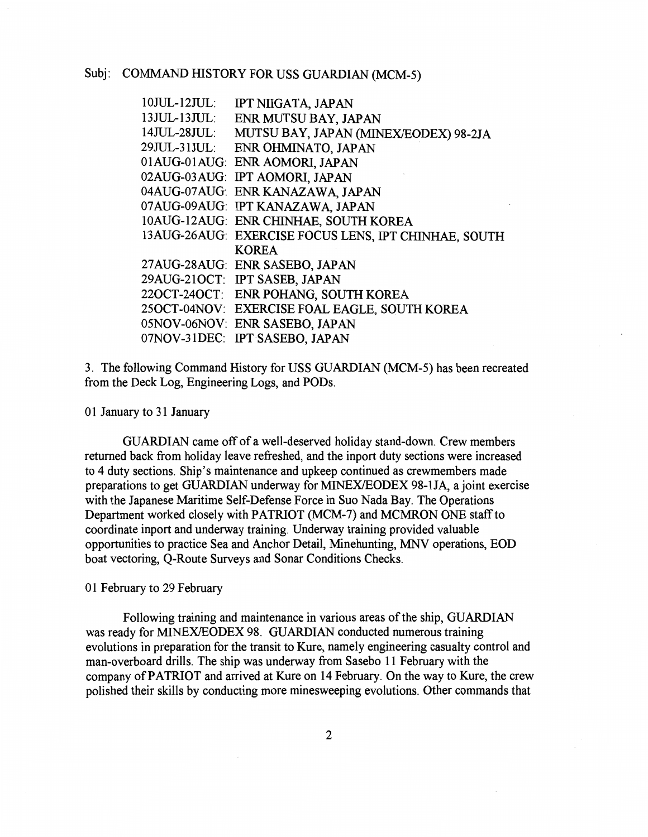| 10JUL-12JUL:        | IPT NIIGATA, JAPAN                                   |
|---------------------|------------------------------------------------------|
| $13$ JUL- $13$ JUL: | ENR MUTSU BAY, JAPAN                                 |
| 14JUL-28JUL:        | MUTSU BAY, JAPAN (MINEX/EODEX) 98-2JA                |
| 29JUL-31JUL:        | ENR OHMINATO, JAPAN                                  |
|                     | 01AUG-01AUG: ENR AOMORI, JAPAN                       |
|                     | 02AUG-03AUG: IPT AOMORI, JAPAN                       |
|                     | 04AUG-07AUG: ENR KANAZAWA, JAPAN                     |
|                     | 07AUG-09AUG: IPT KANAZAWA, JAPAN                     |
|                     | 10AUG-12AUG: ENR CHINHAE, SOUTH KOREA                |
|                     | 13AUG-26AUG: EXERCISE FOCUS LENS, IPT CHINHAE, SOUTH |
|                     | <b>KOREA</b>                                         |
|                     | 27AUG-28AUG: ENR SASEBO, JAPAN                       |
|                     | 29AUG-21OCT: IPT SASEB, JAPAN                        |
|                     | 22OCT-24OCT: ENR POHANG, SOUTH KOREA                 |
|                     | 25OCT-04NOV: EXERCISE FOAL EAGLE, SOUTH KOREA        |
|                     | 05NOV-06NOV: ENR SASEBO, JAPAN                       |
|                     | 07NOV-31DEC: IPT SASEBO, JAPAN                       |

3. The following Command History for USS GUARDIAN (MCM-5) has been recreated from the Deck Log, Engineering Logs, and PODs.

01 January to 31 January

GUARDIAN came off of a well-deserved holiday stand-down. Crew members returned back from holiday leave refreshed, and the inport duty sections were increased to 4 duty sections. Ship's maintenance and upkeep continued as crewmembers made preparations to get GUARDIAN underway for MINEX/EODEX 98-1JA, a joint exercise with the Japanese Maritime Self-Defense Force in Suo Nada Bay. The Operations Department worked closely with PATRIOT (MCM-7) and MCMRON ONE staff to coordinate inport and underway training. Underway training provided valuable opportunities to practice Sea and Anchor Detail, Minehunting, MNV operations, EOD boat vectoring, Q-Route Surveys and Sonar Conditions Checks.

### 01 February to 29 February

Following training and maintenance in various areas of the ship, GUARDIAN was ready for MINEX/EODEX 98. GUARDIAN conducted numerous training evolutions in preparation for the transit to Kure, namely engineering casualty control and man-overboard drills. The ship was underway from Sasebo 11 February with the company of PATRIOT and arrived at Kure on 14 February. On the way to Kure, the crew polished their skills by conducting more minesweeping evolutions. Other commands that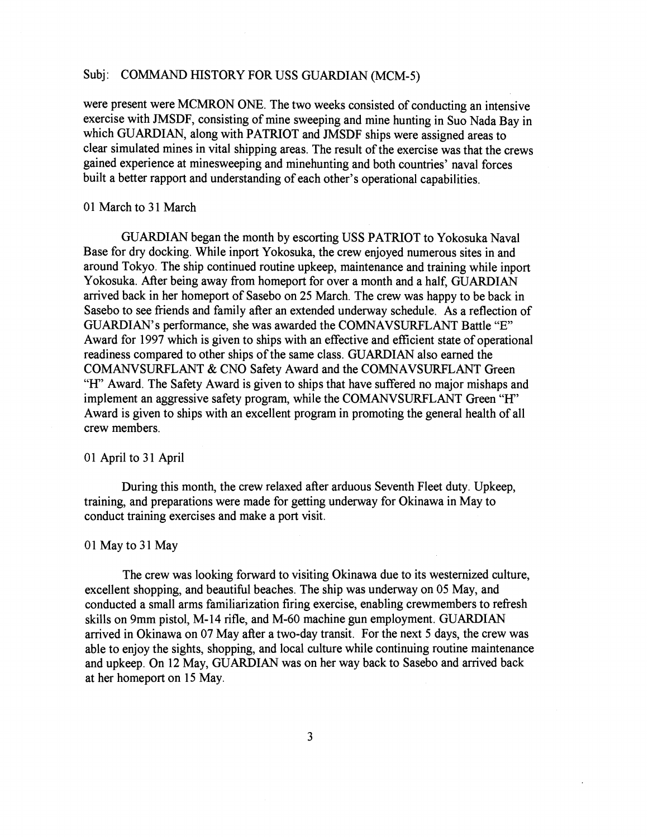were present were MCMRON ONE. The two weeks consisted of conducting an intensive exercise with JMSDF, consisting of mine sweeping and mine hunting in Suo Nada Bay in which GUARDIAN, along with PATRIOT and JMSDF ships were assigned areas to clear simulated mines in vital shipping areas. The result of the exercise was that the crews gained experience at minesweeping and minehunting and both countries' naval forces built a better rapport and understanding of each other's operational capabilities.

### 01 March to 31 March

GUARDIAN began the month by escorting USS PATRIOT to Yokosuka Naval Base for dry docking. While inport Yokosuka, the crew enjoyed numerous sites in and around Tokyo. The ship continued routine upkeep, maintenance and training while inport Yokosuka. After being away from homeport for over a month and a half, GUARDIAN arrived back in her homeport of Sasebo on 25 March. The crew was happy to be back in Sasebo to see friends and family after an extended underway schedule. As a reflection of GUARDIAN'S performance, she was awarded the COMNAVSURFLANT Battle "E Award for 1997 which is given to ships with an effective and efficient state of operational readiness compared to other ships of the same class. GUARDIAN also earned the COMANVSURFLANT & CNO Safety Award and the COMNAVSURFLANT Green **"H"** Award. The Safety Award is given to ships that have suffered no major mishaps and implement an aggressive safety program, while the COMANVSURFLANT Green "H" Award is given to ships with an excellent program in promoting the general health of all crew members.

### 01 April to **3** 1 April

During this month, the crew relaxed after arduous Seventh Fleet duty. Upkeep, training, and preparations were made for getting underway for Okinawa in May to conduct training exercises and make a port visit.

### 01 May to 31 May

The crew was looking forward to visiting Okinawa due to its westernized culture, excellent shopping, and beautiful beaches. The ship was underway on 05 May, and conducted a small arms familiarization firing exercise, enabling crewmembers to refresh skills on 9mm pistol, M-14 rifle, and M-60 machine gun employment. GUARDIAN arrived in Okinawa on 07 May after a two-day transit. For the next 5 days, the crew was able to enjoy the sights, shopping, and local culture while continuing routine maintenance and upkeep. On 12 May, GUARDIAN was on her way back to Sasebo and arrived back at her homeport on 15 May.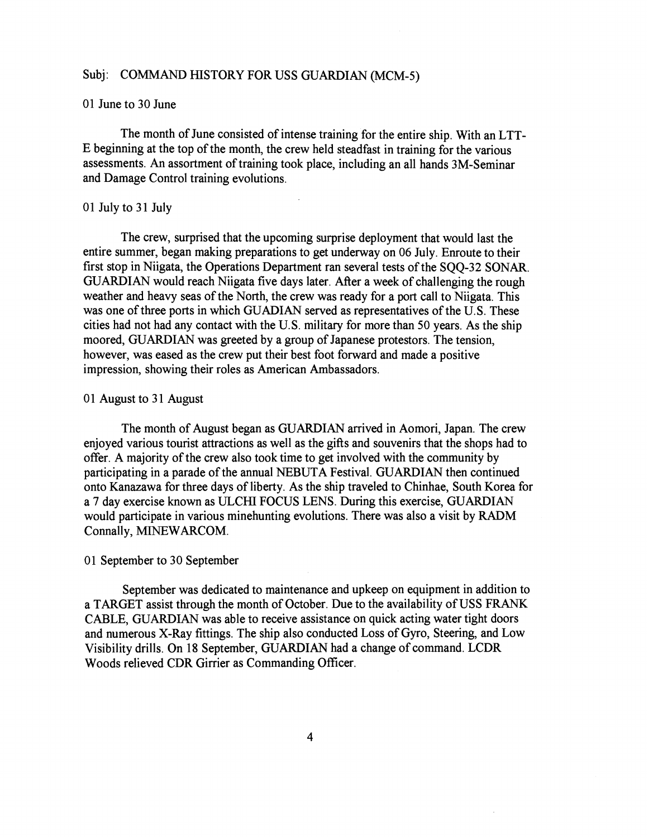## 01 June to 30 June

The month of June consisted of intense training for the entire ship. With an LTT-E beginning at the top of the month, the crew held steadfast in training for the various assessments. An assortment of training took place, including an all hands 3M-Seminar and Damage Control training evolutions.

## 01 July to 31 July

The crew, surprised that the upcoming surprise deployment that would last the entire summer, began making preparations to get underway on 06 July. Enroute to their first stop in Niigata, the Operations Department ran several tests of the SQQ-32 SONAR. GUARDIAN would reach Niigata five days later. After a week of challenging the rough weather and heavy seas of the North, the crew was ready for a port call to Niigata. This was one of three ports in which GUADIAN served as representatives of the U.S. These cities had not had any contact with the U.S. military for more than 50 years. As the ship moored, GUARDIAN was greeted by a group of Japanese protestors. The tension, however, was eased as the crew put their best foot forward and made a positive impression, showing their roles as American Ambassadors.

### 01 August to 31 August

The month of August began as GUARDIAN arrived in Aomori, Japan. The crew enjoyed various tourist attractions as well as the gifts and souvenirs that the shops had to offer. A majority of the crew also took time to get involved with the community by participating in a parade of the annual NEBUTA Festival. GUARDIAN then continued onto Kanazawa for three days of liberty. As the ship traveled to Chinhae, South Korea for a **7** day exercise known as ULCHI FOCUS LENS. During this exercise, GUARDIAN would participate in various minehunting evolutions. There was also a visit by RADM Connally, MINEWARCOM.

### 01 September to 30 September

September was dedicated to maintenance and upkeep on equipment in addition to a TARGET assist through the month of October. Due to the availability of USS FRANK CABLE, GUARDIAN was able to receive assistance on quick acting water tight doors and numerous X-Ray fittings. The ship also conducted Loss of Gyro, Steering, and Low Visibility drills. On 18 September, GUARDIAN had a change of command. LCDR Woods relieved CDR Girrier as Commanding Oficer.